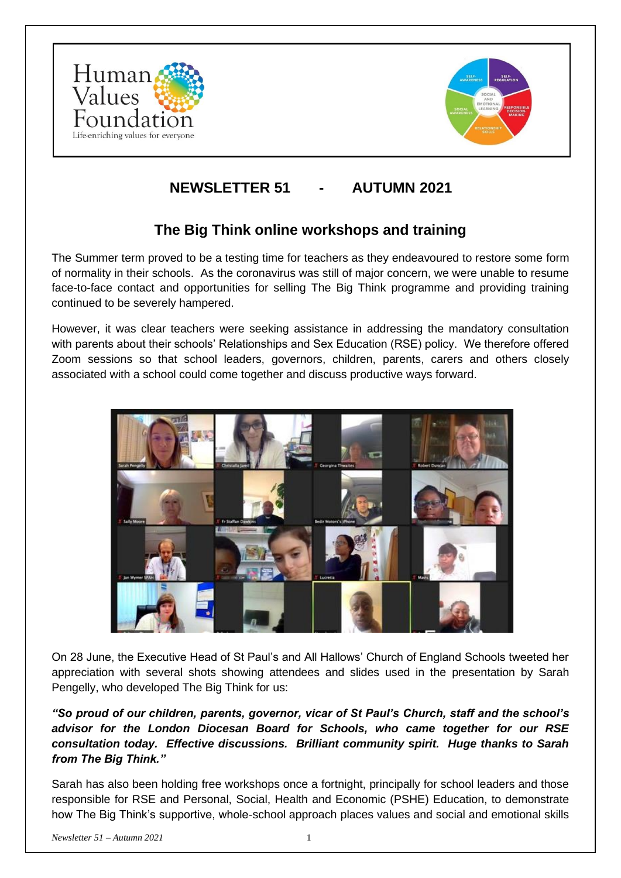



# **NEWSLETTER 51 - AUTUMN 2021**

### **The Big Think online workshops and training**

The Summer term proved to be a testing time for teachers as they endeavoured to restore some form of normality in their schools. As the coronavirus was still of major concern, we were unable to resume face-to-face contact and opportunities for selling The Big Think programme and providing training continued to be severely hampered.

However, it was clear teachers were seeking assistance in addressing the mandatory consultation with parents about their schools' Relationships and Sex Education (RSE) policy. We therefore offered Zoom sessions so that school leaders, governors, children, parents, carers and others closely associated with a school could come together and discuss productive ways forward.



On 28 June, the Executive Head of St Paul's and All Hallows' Church of England Schools tweeted her appreciation with several shots showing attendees and slides used in the presentation by Sarah Pengelly, who developed The Big Think for us:

*"So proud of our children, parents, governor, vicar of St Paul's Church, staff and the school's advisor for the London Diocesan Board for Schools, who came together for our RSE consultation today. Effective discussions. Brilliant community spirit. Huge thanks to Sarah from The Big Think."* 

Sarah has also been holding free workshops once a fortnight, principally for school leaders and those responsible for RSE and Personal, Social, Health and Economic (PSHE) Education, to demonstrate how The Big Think's supportive, whole-school approach places values and social and emotional skills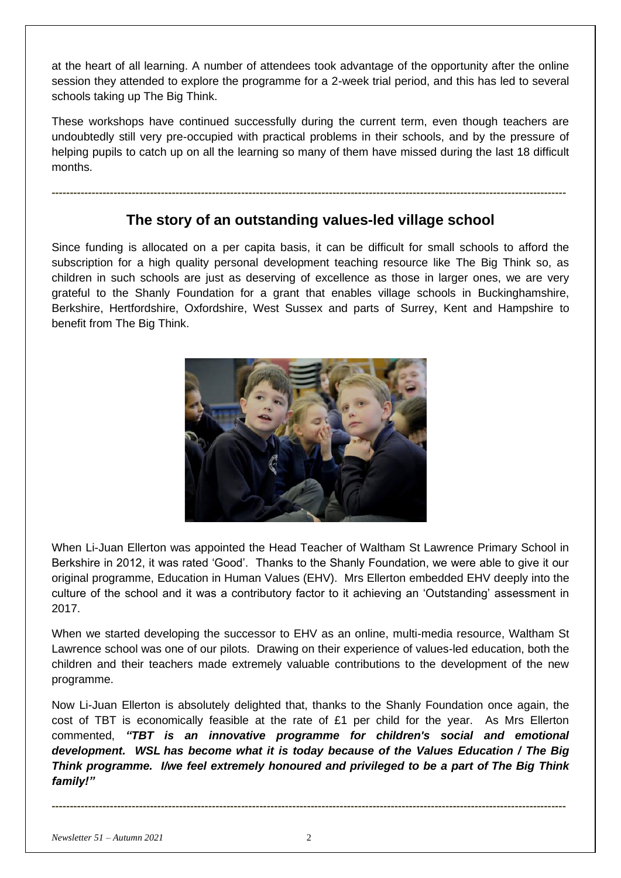at the heart of all learning. A number of attendees took advantage of the opportunity after the online session they attended to explore the programme for a 2-week trial period, and this has led to several schools taking up The Big Think.

These workshops have continued successfully during the current term, even though teachers are undoubtedly still very pre-occupied with practical problems in their schools, and by the pressure of helping pupils to catch up on all the learning so many of them have missed during the last 18 difficult months.

### **The story of an outstanding values-led village school**

**---------------------------------------------------------------------------------------------------------------------------------------------**

Since funding is allocated on a per capita basis, it can be difficult for small schools to afford the subscription for a high quality personal development teaching resource like The Big Think so, as children in such schools are just as deserving of excellence as those in larger ones, we are very grateful to the Shanly Foundation for a grant that enables village schools in Buckinghamshire, Berkshire, Hertfordshire, Oxfordshire, West Sussex and parts of Surrey, Kent and Hampshire to benefit from The Big Think.



When Li-Juan Ellerton was appointed the Head Teacher of Waltham St Lawrence Primary School in Berkshire in 2012, it was rated 'Good'. Thanks to the Shanly Foundation, we were able to give it our original programme, Education in Human Values (EHV). Mrs Ellerton embedded EHV deeply into the culture of the school and it was a contributory factor to it achieving an 'Outstanding' assessment in 2017.

When we started developing the successor to EHV as an online, multi-media resource, Waltham St Lawrence school was one of our pilots. Drawing on their experience of values-led education, both the children and their teachers made extremely valuable contributions to the development of the new programme.

Now Li-Juan Ellerton is absolutely delighted that, thanks to the Shanly Foundation once again, the cost of TBT is economically feasible at the rate of £1 per child for the year. As Mrs Ellerton commented, *"TBT is an innovative programme for children's social and emotional development. WSL has become what it is today because of the Values Education / The Big Think programme. I/we feel extremely honoured and privileged to be a part of The Big Think family!"*

**---------------------------------------------------------------------------------------------------------------------------------------------**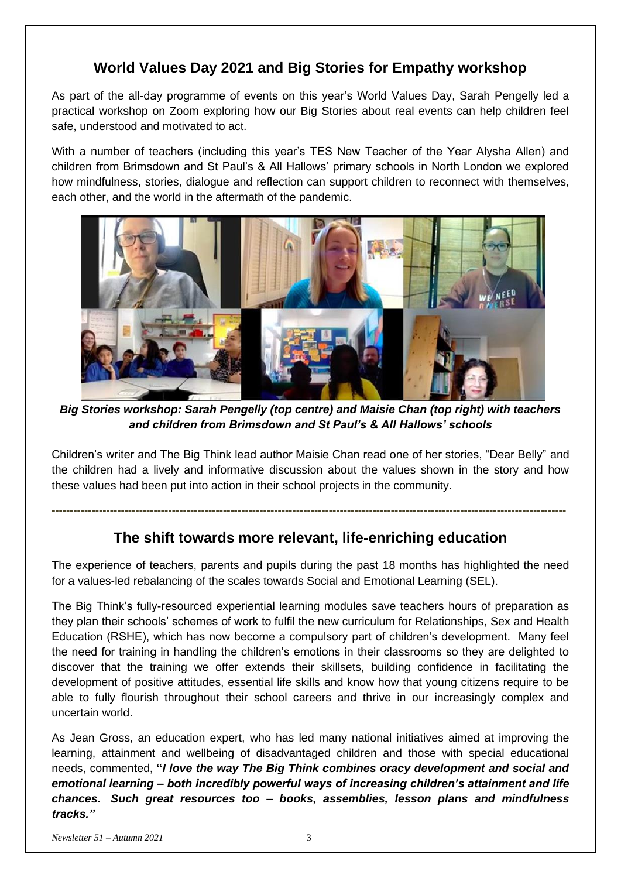## **World Values Day 2021 and Big Stories for Empathy workshop**

As part of the all-day programme of events on this year's World Values Day, Sarah Pengelly led a practical workshop on Zoom exploring how our Big Stories about real events can help children feel safe, understood and motivated to act.

With a number of teachers (including this year's TES New Teacher of the Year Alysha Allen) and children from Brimsdown and St Paul's & All Hallows' primary schools in North London we explored how mindfulness, stories, dialogue and reflection can support children to reconnect with themselves, each other, and the world in the aftermath of the pandemic.



*Big Stories workshop: Sarah Pengelly (top centre) and Maisie Chan (top right) with teachers and children from Brimsdown and St Paul's & All Hallows' schools*

Children's writer and The Big Think lead author Maisie Chan read one of her stories, "Dear Belly" and the children had a lively and informative discussion about the values shown in the story and how these values had been put into action in their school projects in the community.

## **The shift towards more relevant, life-enriching education**

**---------------------------------------------------------------------------------------------------------------------------------------------**

The experience of teachers, parents and pupils during the past 18 months has highlighted the need for a values-led rebalancing of the scales towards Social and Emotional Learning (SEL).

The Big Think's fully-resourced experiential learning modules save teachers hours of preparation as they plan their schools' schemes of work to fulfil the new curriculum for Relationships, Sex and Health Education (RSHE), which has now become a compulsory part of children's development. Many feel the need for training in handling the children's emotions in their classrooms so they are delighted to discover that the training we offer extends their skillsets, building confidence in facilitating the development of positive attitudes, essential life skills and know how that young citizens require to be able to fully flourish throughout their school careers and thrive in our increasingly complex and uncertain world.

As Jean Gross, an education expert, who has led many national initiatives aimed at improving the learning, attainment and wellbeing of disadvantaged children and those with special educational needs, commented, **"***I love the way The Big Think combines oracy development and social and emotional learning – both incredibly powerful ways of increasing children's attainment and life chances. Such great resources too – books, assemblies, lesson plans and mindfulness tracks."*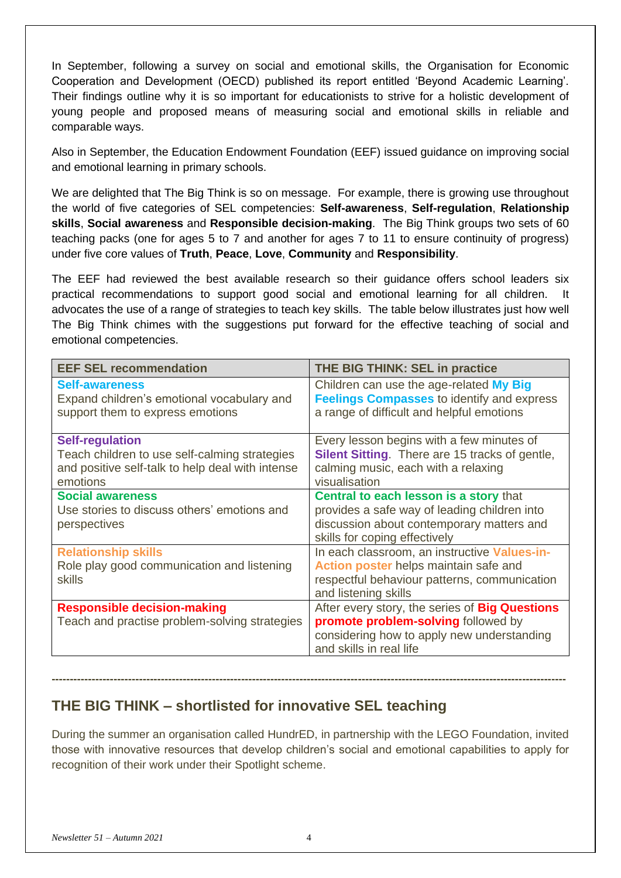In September, following a survey on social and emotional skills, the Organisation for Economic Cooperation and Development (OECD) published its report entitled 'Beyond Academic Learning'. Their findings outline why it is so important for educationists to strive for a holistic development of young people and proposed means of measuring social and emotional skills in reliable and comparable ways.

Also in September, the Education Endowment Foundation (EEF) issued guidance on improving social and emotional learning in primary schools.

We are delighted that The Big Think is so on message. For example, there is growing use throughout the world of five categories of SEL competencies: **Self-awareness**, **Self-regulation**, **Relationship skills**, **Social awareness** and **Responsible decision-making**. The Big Think groups two sets of 60 teaching packs (one for ages 5 to 7 and another for ages 7 to 11 to ensure continuity of progress) under five core values of **Truth**, **Peace**, **Love**, **Community** and **Responsibility**.

The EEF had reviewed the best available research so their guidance offers school leaders six practical recommendations to support good social and emotional learning for all children. It advocates the use of a range of strategies to teach key skills. The table below illustrates just how well The Big Think chimes with the suggestions put forward for the effective teaching of social and emotional competencies.

| <b>EEF SEL recommendation</b>                                                                                                           | <b>THE BIG THINK: SEL in practice</b>                                                                                                                                 |
|-----------------------------------------------------------------------------------------------------------------------------------------|-----------------------------------------------------------------------------------------------------------------------------------------------------------------------|
| <b>Self-awareness</b><br>Expand children's emotional vocabulary and<br>support them to express emotions                                 | Children can use the age-related My Big<br><b>Feelings Compasses to identify and express</b><br>a range of difficult and helpful emotions                             |
| <b>Self-regulation</b><br>Teach children to use self-calming strategies<br>and positive self-talk to help deal with intense<br>emotions | Every lesson begins with a few minutes of<br><b>Silent Sitting.</b> There are 15 tracks of gentle,<br>calming music, each with a relaxing<br>visualisation            |
| <b>Social awareness</b><br>Use stories to discuss others' emotions and<br>perspectives                                                  | Central to each lesson is a story that<br>provides a safe way of leading children into<br>discussion about contemporary matters and<br>skills for coping effectively  |
| <b>Relationship skills</b><br>Role play good communication and listening<br><b>skills</b>                                               | In each classroom, an instructive Values-in-<br>Action poster helps maintain safe and<br>respectful behaviour patterns, communication<br>and listening skills         |
| <b>Responsible decision-making</b><br>Teach and practise problem-solving strategies                                                     | After every story, the series of <b>Big Questions</b><br>promote problem-solving followed by<br>considering how to apply new understanding<br>and skills in real life |

## **THE BIG THINK – shortlisted for innovative SEL teaching**

During the summer an organisation called HundrED, in partnership with the LEGO Foundation, invited those with innovative resources that develop children's social and emotional capabilities to apply for recognition of their work under their Spotlight scheme.

**---------------------------------------------------------------------------------------------------------------------------------------------**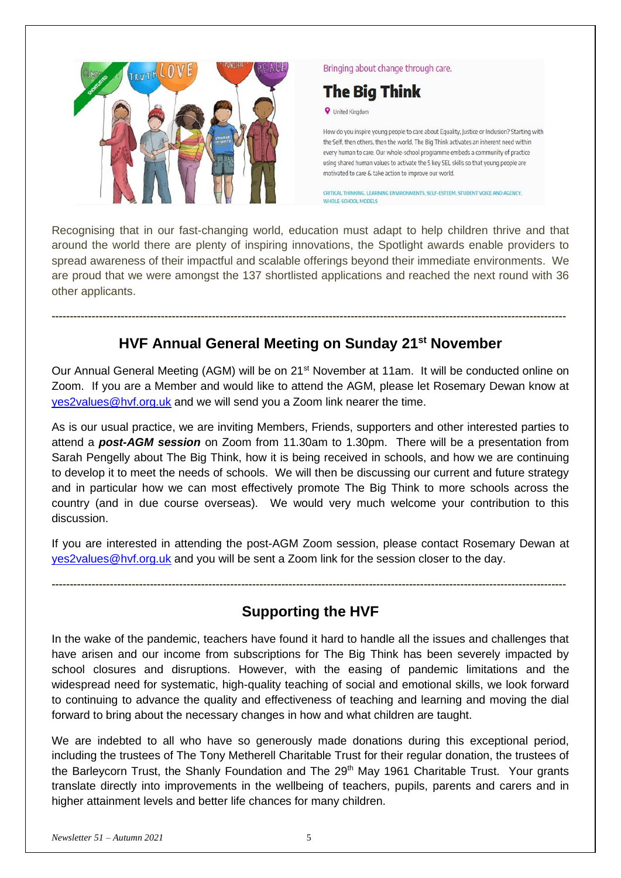

#### Bringing about change through care.

# **The Big Think**

**V** United Kingdom

How do you inspire young people to care about Equality, Justice or Inclusion? Starting with the Self, then others, then the world. The Big Think activates an inherent need within every human to care. Our whole-school programme embeds a community of practice using shared human values to activate the 5 key SEL skills so that young people are motivated to care & take action to improve our world.

CRITICAL THINKING, LEARNING ENVIRONMENTS, SELF-ESTEEM, STUDENT VOICE AND AGENCY, WHOLF-SCHOOL MODELS

Recognising that in our fast-changing world, education must adapt to help children thrive and that around the world there are plenty of inspiring innovations, the Spotlight awards enable providers to spread awareness of their impactful and scalable offerings beyond their immediate environments. We are proud that we were amongst the 137 shortlisted applications and reached the next round with 36 other applicants.

## **HVF Annual General Meeting on Sunday 21st November**

**---------------------------------------------------------------------------------------------------------------------------------------------**

Our Annual General Meeting (AGM) will be on 21<sup>st</sup> November at 11am. It will be conducted online on Zoom. If you are a Member and would like to attend the AGM, please let Rosemary Dewan know at [yes2values@hvf.org.uk](mailto:yes2values@hvf.org.uk) and we will send you a Zoom link nearer the time.

As is our usual practice, we are inviting Members, Friends, supporters and other interested parties to attend a *post-AGM session* on Zoom from 11.30am to 1.30pm. There will be a presentation from Sarah Pengelly about The Big Think, how it is being received in schools, and how we are continuing to develop it to meet the needs of schools. We will then be discussing our current and future strategy and in particular how we can most effectively promote The Big Think to more schools across the country (and in due course overseas). We would very much welcome your contribution to this discussion.

If you are interested in attending the post-AGM Zoom session, please contact Rosemary Dewan at [yes2values@hvf.org.uk](mailto:yes2values@hvf.org.uk) and you will be sent a Zoom link for the session closer to the day.

## **Supporting the HVF**

**---------------------------------------------------------------------------------------------------------------------------------------------**

In the wake of the pandemic, teachers have found it hard to handle all the issues and challenges that have arisen and our income from subscriptions for The Big Think has been severely impacted by school closures and disruptions. However, with the easing of pandemic limitations and the widespread need for systematic, high-quality teaching of social and emotional skills, we look forward to continuing to advance the quality and effectiveness of teaching and learning and moving the dial forward to bring about the necessary changes in how and what children are taught.

We are indebted to all who have so generously made donations during this exceptional period, including the trustees of The Tony Metherell Charitable Trust for their regular donation, the trustees of the Barleycorn Trust, the Shanly Foundation and The 29<sup>th</sup> May 1961 Charitable Trust. Your grants translate directly into improvements in the wellbeing of teachers, pupils, parents and carers and in higher attainment levels and better life chances for many children.